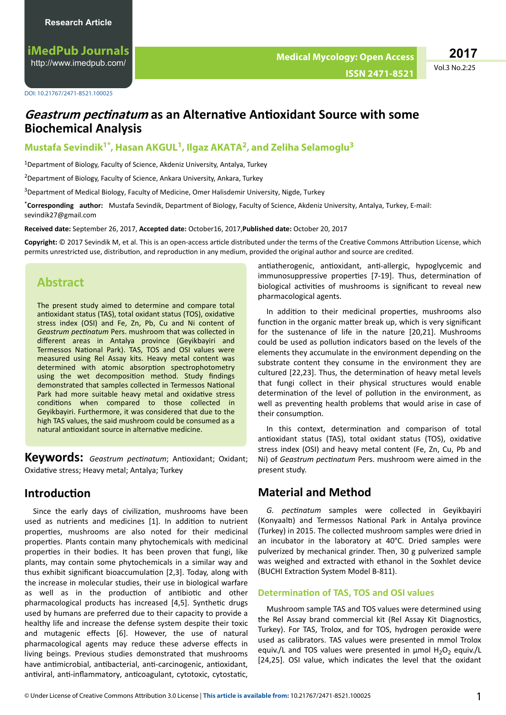**iMedPub Journals** <http://www.imedpub.com/>

Vol.3 No.2:25 **2017**

# **Geastrum pectinatum as an Alternative Antioxidant Source with some Biochemical Analysis**

### **Mustafa Sevindik1\*, Hasan AKGUL<sup>1</sup> , Ilgaz AKATA<sup>2</sup> , and Zeliha Selamoglu<sup>3</sup>**

<sup>1</sup>Department of Biology, Faculty of Science, Akdeniz University, Antalya, Turkey

<sup>2</sup>Department of Biology, Faculty of Science, Ankara University, Ankara, Turkey

<sup>3</sup>Department of Medical Biology, Faculty of Medicine, Omer Halisdemir University, Nigde, Turkey

\***Corresponding author:** Mustafa Sevindik, Department of Biology, Faculty of Science, Akdeniz University, Antalya, Turkey, E-mail: sevindik27@gmail.com

**Received date:** September 26, 2017, **Accepted date:** October16, 2017,**Published date:** October 20, 2017

Copyright: © 2017 Sevindik M, et al. This is an open-access article distributed under the terms of the Creative Commons Attribution License, which permits unrestricted use, distribution, and reproduction in any medium, provided the original author and source are credited.

## **Abstract**

The present study aimed to determine and compare total antioxidant status (TAS), total oxidant status (TOS), oxidative stress index (OSI) and Fe, Zn, Pb, Cu and Ni content of Geastrum pectinatum Pers. mushroom that was collected in different areas in Antalya province (Geyikbayiri and Termessos National Park). TAS, TOS and OSI values were measured using Rel Assay kits. Heavy metal content was determined with atomic absorption spectrophotometry using the wet decomposition method. Study findings demonstrated that samples collected in Termessos National Park had more suitable heavy metal and oxidative stress conditions when compared to those collected in Geyikbayiri. Furthermore, it was considered that due to the high TAS values, the said mushroom could be consumed as a natural antioxidant source in alternative medicine.

**Keywords:** *Geastrum pectinatum*; Antioxidant; Oxidant; Oxidative stress: Heavy metal: Antalya: Turkey

### **Introduction**

Since the early days of civilization, mushrooms have been used as nutrients and medicines [1]. In addition to nutrient properties, mushrooms are also noted for their medicinal properties. Plants contain many phytochemicals with medicinal properties in their bodies. It has been proven that fungi, like plants, may contain some phytochemicals in a similar way and thus exhibit significant bioaccumulation [2,3]. Today, along with the increase in molecular studies, their use in biological warfare as well as in the production of antibiotic and other pharmacological products has increased [4,5]. Synthetic drugs used by humans are preferred due to their capacity to provide a healthy life and increase the defense system despite their toxic and mutagenic effects [6]. However, the use of natural pharmacological agents may reduce these adverse effects in living beings. Previous studies demonstrated that mushrooms have antimicrobial, antibacterial, anti-carcinogenic, antioxidant, antiviral, anti-inflammatory, anticoagulant, cytotoxic, cytostatic,

antiatherogenic, antioxidant, anti-allergic, hypoglycemic and immunosuppressive properties [7-19]. Thus, determination of biological activities of mushrooms is significant to reveal new pharmacological agents.

In addition to their medicinal properties, mushrooms also function in the organic matter break up, which is very significant for the sustenance of life in the nature [20,21]. Mushrooms could be used as pollution indicators based on the levels of the elements they accumulate in the environment depending on the substrate content they consume in the environment they are cultured [22,23]. Thus, the determination of heavy metal levels that fungi collect in their physical structures would enable determination of the level of pollution in the environment, as well as preventing health problems that would arise in case of their consumption.

In this context, determination and comparison of total antioxidant status (TAS), total oxidant status (TOS), oxidative stress index (OSI) and heavy metal content (Fe, Zn, Cu, Pb and Ni) of *Geastrum pectinatum* Pers. mushroom were aimed in the present study.

# **Material and Method**

G. pectinatum samples were collected in Geyikbayiri (Konyaalti) and Termessos National Park in Antalya province (Turkey) in 2015. The collected mushroom samples were dried in an incubator in the laboratory at 40°C. Dried samples were pulverized by mechanical grinder. Then, 30 g pulverized sample was weighed and extracted with ethanol in the Soxhlet device (BUCHI Extraction System Model B-811).

#### **Determination of TAS, TOS and OSI values**

Mushroom sample TAS and TOS values were determined using the Rel Assay brand commercial kit (Rel Assay Kit Diagnostics, Turkey). For TAS, Trolox, and for TOS, hydrogen peroxide were used as calibrators. TAS values were presented in mmol Trolox equiv./L and TOS values were presented in  $\mu$ mol H<sub>2</sub>O<sub>2</sub> equiv./L [24,25]. OSI value, which indicates the level that the oxidant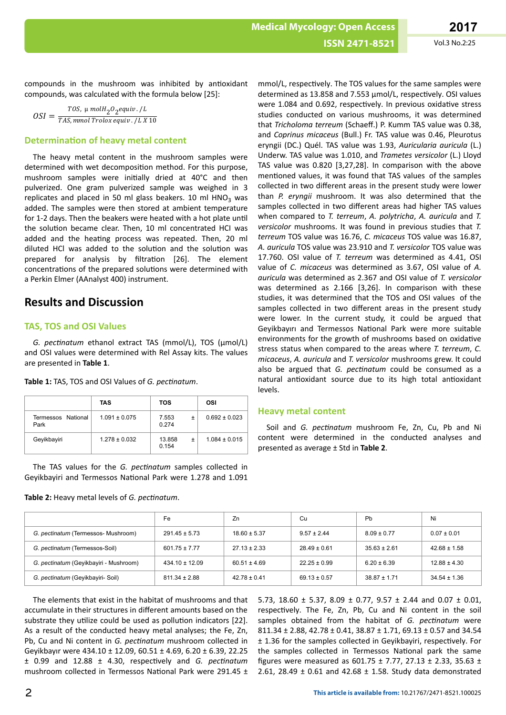**ISSN 2471-8521** Vol.3 No.2:25

compounds in the mushroom was inhibited by antioxidant compounds, was calculated with the formula below [25]:

$$
OSI = \frac{TOS, \mu \text{ mol} H_2O_2 \text{equiv} \cdot / L}{TAS, \text{mmol} \text{ Trolox} \text{equiv} \cdot / L \text{ X 10}}
$$

### **Determination of heavy metal content**

The heavy metal content in the mushroom samples were determined with wet decomposition method. For this purpose, mushroom samples were initially dried at 40°C and then pulverized. One gram pulverized sample was weighed in 3 replicates and placed in 50 ml glass beakers. 10 ml  $HNO<sub>3</sub>$  was added. The samples were then stored at ambient temperature for 1-2 days. Then the beakers were heated with a hot plate until the solution became clear. Then, 10 ml concentrated HCI was added and the heating process was repeated. Then, 20 ml diluted HCl was added to the solution and the solution was prepared for analysis by filtration [26]. The element concentrations of the prepared solutions were determined with a Perkin Elmer (AAnalyst 400) instrument.

### **Results and Discussion**

### **TAS, TOS and OSI Values**

*G. pectinatum* ethanol extract TAS (mmol/L), TOS (μmol/L) and OSI values were determined with Rel Assay kits. The values are presented in **Table 1**.

|                            | TAS               | <b>TOS</b>      | OSI               |
|----------------------------|-------------------|-----------------|-------------------|
| Termessos National<br>Park | $1.091 \pm 0.075$ | 7.553<br>0.274  | $0.692 \pm 0.023$ |
| Geyikbayiri                | $1.278 \pm 0.032$ | 13.858<br>0 154 | $1.084 \pm 0.015$ |

Table 1: TAS, TOS and OSI Values of *G. pectinatum*.

The TAS values for the *G. pectinatum* samples collected in Geyikbayiri and Termessos National Park were 1.278 and 1.091

**Table 2:** Heavy metal levels of *G. pectinatum*.

mmol/L, respectively. The TOS values for the same samples were determined as 13.858 and 7.553 µmol/L, respectively. OSI values were 1.084 and 0.692, respectively. In previous oxidative stress studies conducted on various mushrooms, it was determined that *Tricholoma terreum* (Schaeff.) P. Kumm TAS value was 0.38, and *Coprinus micaceus* (Bull.) Fr. TAS value was 0.46, Pleurotus eryngii (DC.) Quél. TAS value was 1.93, *Auricularia auricula* (L.) Underw. TAS value was 1.010, and *Trametes versicolor* (L.) Lloyd TAS value was 0.820 [3,27,28]. In comparison with the above mentioned values, it was found that TAS values of the samples collected in two different areas in the present study were lower than *P. eryngii* mushroom. It was also determined that the samples collected in two different areas had higher TAS values when compared to *T. terreum*, *A. polytricha*, *A. auricula* and *T. versicolor* mushrooms. It was found in previous studies that *T. terreum* TOS value was 16.76, *C. micaceus* TOS value was 16.87, *A. auricula* TOS value was 23.910 and *T. versicolor* TOS value was 17.760. OSI value of *T. terreum* was determined as 4.41, OSI value of *C. micaceus* was determined as 3.67, OSI value of *A. auricula* was determined as 2.367 and OSI value of *T. versicolor* was determined as 2.166 [3,26]. In comparison with these studies, it was determined that the TOS and OSI values of the samples collected in two different areas in the present study were lower. In the current study, it could be argued that Geyikbayırı and Termessos National Park were more suitable environments for the growth of mushrooms based on oxidative stress status when compared to the areas where *T. terreum*, *C. micaceus*, *A. auricula* and *T. versicolor* mushrooms grew. It could also be argued that *G. pectingtum* could be consumed as a natural antioxidant source due to its high total antioxidant levels.

#### **Heavy metal content**

Soil and *G. pectinatum* mushroom Fe, Zn, Cu, Pb and Ni content were determined in the conducted analyses and presented as average ± Std in **Table 2**.

|                                        | Fe                 | Zn               | Сu               | Pb               | Ni               |
|----------------------------------------|--------------------|------------------|------------------|------------------|------------------|
| G. pectinatum (Termessos- Mushroom)    | $291.45 \pm 5.73$  | $18.60 \pm 5.37$ | $9.57 \pm 2.44$  | $8.09 \pm 0.77$  | $0.07 \pm 0.01$  |
| G. pectinatum (Termessos-Soil)         | $601.75 \pm 7.77$  | $27.13 \pm 2.33$ | $28.49 \pm 0.61$ | $35.63 \pm 2.61$ | $42.68 \pm 1.58$ |
| G. pectinatum (Geyikbayiri - Mushroom) | $434.10 \pm 12.09$ | $60.51 \pm 4.69$ | $22.25 \pm 0.99$ | $6.20 \pm 6.39$  | $12.88 \pm 4.30$ |
| G. pectinatum (Geyikbayiri- Soil)      | $811.34 \pm 2.88$  | $42.78 \pm 0.41$ | $69.13 \pm 0.57$ | $38.87 \pm 1.71$ | $34.54 \pm 1.36$ |

The elements that exist in the habitat of mushrooms and that accumulate in their structures in different amounts based on the substrate they utilize could be used as pollution indicators [22]. As a result of the conducted heavy metal analyses; the Fe, Zn, Pb, Cu and Ni content in *G. pectinatum* mushroom collected in Geyikbayır were 434.10 ± 12.09, 60.51 ± 4.69, 6.20 ± 6.39, 22.25 ± 0.99 and 12.88 ± 4.30, respectively and *G. pectinatum* mushroom collected in Termessos National Park were 291.45  $\pm$ 

5.73, 18.60  $\pm$  5.37, 8.09  $\pm$  0.77, 9.57  $\pm$  2.44 and 0.07  $\pm$  0.01, respectively. The Fe, Zn, Pb, Cu and Ni content in the soil samples obtained from the habitat of *G. pectinatum* were 811.34 ± 2.88, 42.78 ± 0.41, 38.87 ± 1.71, 69.13 ± 0.57 and 34.54 ± 1.36 for the samples collected in Geyikbayiri, respectively. For the samples collected in Termessos National park the same figures were measured as  $601.75 \pm 7.77$ , 27.13  $\pm$  2.33, 35.63  $\pm$ 2.61, 28.49 ± 0.61 and 42.68 ± 1.58. Study data demonstrated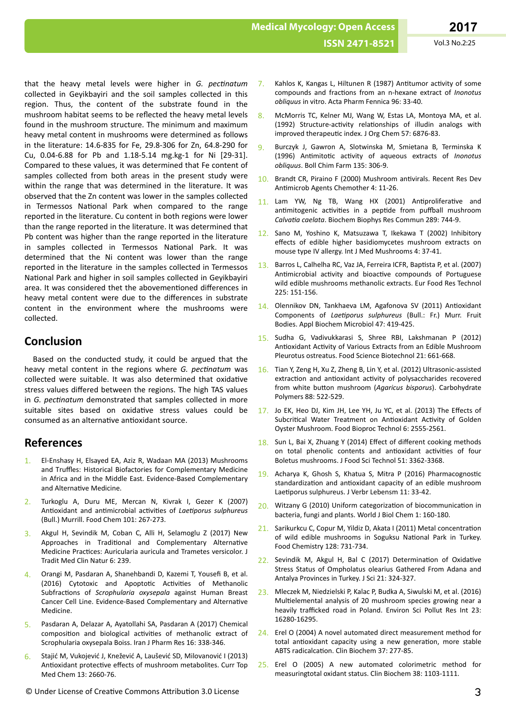**Medical Mycology: Open Access ISSN 2471-8521** Vol.3 No.2:25

that the heavy metal levels were higher in *G. pectinatum* collected in Geyikbayiri and the soil samples collected in this region. Thus, the content of the substrate found in the mushroom habitat seems to be reflected the heavy metal levels found in the mushroom structure. The minimum and maximum heavy metal content in mushrooms were determined as follows in the literature: 14.6-835 for Fe, 29.8-306 for Zn, 64.8-290 for Cu, 0.04-6.88 for Pb and 1.18-5.14 mg.kg-1 for Ni [29-31]. Compared to these values, it was determined that Fe content of samples collected from both areas in the present study were within the range that was determined in the literature. It was observed that the Zn content was lower in the samples collected in Termessos National Park when compared to the range reported in the literature. Cu content in both regions were lower than the range reported in the literature. It was determined that Pb content was higher than the range reported in the literature in samples collected in Termessos National Park. It was determined that the Ni content was lower than the range reported in the literature in the samples collected in Termessos National Park and higher in soil samples collected in Geyikbayiri area. It was considered thet the abovementioned differences in heavy metal content were due to the differences in substrate content in the environment where the mushrooms were collected.

## **Conclusion**

Based on the conducted study, it could be argued that the heavy metal content in the regions where *G. pectingtum* was collected were suitable. It was also determined that oxidative stress values differed between the regions. The high TAS values in *G. pectinatum* demonstrated that samples collected in more suitable sites based on oxidative stress values could be consumed as an alternative antioxidant source.

## **References**

- 1. El-Enshasy H, Elsayed EA, Aziz R, Wadaan MA (2013) Mushrooms and Truffles: Historical Biofactories for Complementary Medicine in Africa and in the Middle East. Evidence-Based Complementary and Alternative Medicine.
- 2. [Turkoglu A, Duru ME, Mercan N, Kivrak I, Gezer K \(2007\)](http://www.academia.edu/6564411/Antioxidant_and_antimicrobial_activities_of_Laetiporus_sulphureus_Bull._Murrill) Antioxidant and antimicrobial activities of *Laetiporus sulphureus* [\(Bull.\) Murrill. Food Chem 101: 267-273.](http://www.academia.edu/6564411/Antioxidant_and_antimicrobial_activities_of_Laetiporus_sulphureus_Bull._Murrill)
- 3. [Akgul H, Sevindik M, Coban C, Alli H, Selamoglu Z \(2017\) New](http://dx.doi.org/%2010.4172/2167-1206.1000239) Approaches in Traditional [and Complementary](http://dx.doi.org/%2010.4172/2167-1206.1000239) Alternative Medicine Practices: [Auricularia auricula and Trametes versicolor. J](http://dx.doi.org/%2010.4172/2167-1206.1000239) [Tradit Med Clin Natur 6: 239.](http://dx.doi.org/%2010.4172/2167-1206.1000239)
- 4. Orangi M, Pasdaran A, Shanehbandi D, Kazemi T, Yousefi B, et al. (2016) Cytotoxic and Apoptotic Activities of Methanolic Subfractions of *Scrophularia oxysepala* against Human Breast Cancer Cell Line. Evidence-Based Complementary and Alternative Medicine.
- 5. [Pasdaran A, Delazar A, Ayatollahi SA, Pasdaran A \(2017\) Chemical](https://www.ncbi.nlm.nih.gov/pmc/articles/PMC5423259/) composition and biological activities [of methanolic extract of](https://www.ncbi.nlm.nih.gov/pmc/articles/PMC5423259/) [Scrophularia oxysepala Boiss. Iran J Pharm Res 16: 338-346.](https://www.ncbi.nlm.nih.gov/pmc/articles/PMC5423259/)
- 6. [Stajić M, Vukojević J, Knežević A, Laušević SD, Milovanović I \(2013\)](http://dx.doi.org/10.2174/15680266113136660192%20·) Antioxidant protective effects [of mushroom metabolites. Curr Top](http://dx.doi.org/10.2174/15680266113136660192%20·) [Med Chem 13: 2660-76.](http://dx.doi.org/10.2174/15680266113136660192%20·)
- 7. [Kahlos K, Kangas L, Hiltunen R \(1987\)](https://www.scienceopen.com/document?vid=0076f800-3551-474a-8638-3c96accf8ecf) Antitumor activity of some compounds and fractions [from an n-hexane extract of](https://www.scienceopen.com/document?vid=0076f800-3551-474a-8638-3c96accf8ecf) *Inonotus obliquus* [in vitro. Acta Pharm Fennica 96: 33-40.](https://www.scienceopen.com/document?vid=0076f800-3551-474a-8638-3c96accf8ecf)
- 8. [McMorris TC, Kelner MJ, Wang W, Estas LA, Montoya MA, et al.](http://dx.doi.org/%2010.1021/jo00051a037) (1992) Structure-activity relationships [of illudin analogs with](http://dx.doi.org/%2010.1021/jo00051a037) improved therapeutic [index. J Org Chem 57: 6876-83.](http://dx.doi.org/%2010.1021/jo00051a037)
- 9. [Burczyk J, Gawron A, Slotwinska M, Smietana B, Terminska K](https://www.researchgate.net/publication/14265330_Antimitotic_activity_of_aqueous_extracts_of_Inonotus_obliquus) (1996) Antimitotic activity [of aqueous extracts of](https://www.researchgate.net/publication/14265330_Antimitotic_activity_of_aqueous_extracts_of_Inonotus_obliquus) *Inonotus obliquus*[. Boll Chim Farm 135: 306-9.](https://www.researchgate.net/publication/14265330_Antimitotic_activity_of_aqueous_extracts_of_Inonotus_obliquus)
- 10. [Brandt CR, Piraino F \(2000\) Mushroom](https://www.researchgate.net/publication/285759112_Mushroom_antivirals) antivirals. Recent Res Dev Antimicrob [Agents Chemother 4: 11-26.](https://www.researchgate.net/publication/285759112_Mushroom_antivirals)
- 11. [Lam YW, Ng TB, Wang HX \(2001\)](http://dx.doi.org/10.1006/bbrc.2001.6036) Antiproliferative and antimitogenic activities in a peptide from puffball mushroom *ĂůǀĂƟĂ caelata*[. Biochem Biophys Res Commun 289: 744-9.](http://dx.doi.org/10.1006/bbrc.2001.6036)
- 12. [Sano M, Yoshino K, Matsuzawa T, Ikekawa T \(2002\) Inhibitory](http://dx.doi.org/10.1615/IntJMedMushr.v4.i1.40) effects [of edible higher basidiomycetes mushroom extracts on](http://dx.doi.org/10.1615/IntJMedMushr.v4.i1.40) [mouse type IV allergy. Int J Med Mushrooms 4: 37-41.](http://dx.doi.org/10.1615/IntJMedMushr.v4.i1.40)
- 13. [Barros L, Calhelha RC, Vaz JA, Ferreira ICFR,](http://dx.doi.org/%2010.1007/s00217-006-0394-x) Baptista P, et al. (2007) Antimicrobial activity and bioactive [compounds of Portuguese](http://dx.doi.org/%2010.1007/s00217-006-0394-x) [wild edible mushrooms methanolic extracts. Eur Food Res Technol](http://dx.doi.org/%2010.1007/s00217-006-0394-x) [225: 151-156.](http://dx.doi.org/%2010.1007/s00217-006-0394-x)
- 14. [Olennikov DN, Tankhaeva LM, Agafonova SV \(2011\)](http://dx.doi.org/10.1134/S0003683811040107) Antioxidant Components of *Laetiporus sulphureus* [\(Bull.: Fr.\) Murr. Fruit](http://dx.doi.org/10.1134/S0003683811040107) [Bodies. Appl Biochem Microbiol 47: 419-425.](http://dx.doi.org/10.1134/S0003683811040107)
- 15. [Sudha G, Vadivukkarasi S, Shree RBI, Lakshmanan P \(2012\)](http://dx.doi.org/10.1007/s10068-012-0086-1) Antioxidant Activity [of Various Extracts from an Edible Mushroom](http://dx.doi.org/10.1007/s10068-012-0086-1) [Pleurotus ostreatus. Food Science Biotechnol 21: 661-668.](http://dx.doi.org/10.1007/s10068-012-0086-1)
- 16. [Tian Y, Zeng H, Xu Z, Zheng B, Lin Y, et al. \(2012\) Ultrasonic-assisted](http://dx.doi.org/10.1016/j.carbpol.2011.12.042) extraction and antioxidant activity [of polysaccharides recovered](http://dx.doi.org/10.1016/j.carbpol.2011.12.042) from white button mushroom ([Agaricus bisporus](http://dx.doi.org/10.1016/j.carbpol.2011.12.042)). Carbohydrate [Polymers 88: 522-529.](http://dx.doi.org/10.1016/j.carbpol.2011.12.042)
- 17. [Jo EK, Heo DJ, Kim JH, Lee YH, Ju YC, et al. \(2013\) The](https://doi.org/10.1007/s11947-012-0793-x) Effects of Subcritical [Water Treatment on](https://doi.org/10.1007/s11947-012-0793-x) Antioxidant Activity of Golden [Oyster Mushroom. Food Bioproc Technol 6: 2555-2561.](https://doi.org/10.1007/s11947-012-0793-x)
- 18. [Sun L, Bai X, Zhuang Y \(2014\)](https://doi.org/10.1007/s13197-012-0827-4) Effect of different cooking methods [on total phenolic contents and](https://doi.org/10.1007/s13197-012-0827-4) antioxidant activities of four [Boletus mushrooms. J Food Sci Technol 51: 3362-3368.](https://doi.org/10.1007/s13197-012-0827-4)
- 19. [Acharya K, Ghosh S, Khatua S, Mitra P \(2016\)](https://doi.org/10.1007/s00003-015-0977-1) Pharmacognostic standardization and antioxidant [capacity of an edible mushroom](https://doi.org/10.1007/s00003-015-0977-1) Laetiporus [sulphureus. J Verbr Lebensm 11: 33-42](https://doi.org/10.1007/s00003-015-0977-1).
- 20. [Witzany G \(2010\) Uniform](http://dx.doi.org/%2010.4331/wjbc.v1.i5.160) categorization of biocommunication in [bacteria, fungi and plants. World J Biol Chem 1: 160-180.](http://dx.doi.org/%2010.4331/wjbc.v1.i5.160)
- 21. [Sarikurkcu C, Copur M, Yildiz D, Akata I \(2011\) Metal](http://dx.doi.org/%20%2010.1016/j.foodchem.2011.03.097) concentration [of wild edible mushrooms in Soguksu](http://dx.doi.org/%20%2010.1016/j.foodchem.2011.03.097) National Park in Turkey. [Food Chemistry 128: 731-734.](http://dx.doi.org/%20%2010.1016/j.foodchem.2011.03.097)
- 22. [Sevindik M, Akgul H, Bal C \(2017\)](http://dx.doi.org/%2010.16984/saufenbilder.09547) Determination of Oxidative [Stress Status of Ompholatus olearius Gathered From Adana and](http://dx.doi.org/%2010.16984/saufenbilder.09547) [Antalya Provinces in Turkey. J Sci 21: 324-327](http://dx.doi.org/%2010.16984/saufenbilder.09547).
- 23. [Mleczek M, Niedzielski P, Kalac P, Budka A, Siwulski M, et al. \(2016\)](http://dx.doi.org/%2010.1007/s11356-016-6760-8.) Multielemental [analysis of 20 mushroom species growing near a](http://dx.doi.org/%2010.1007/s11356-016-6760-8.) heavily trafficked [road in Poland. Environ Sci Pollut Res Int 23:](http://dx.doi.org/%2010.1007/s11356-016-6760-8.) [16280-16295.](http://dx.doi.org/%2010.1007/s11356-016-6760-8.)
- 24. [Erel O \(2004\) A novel automated direct measurement method for](http://dx.doi.org/%2010.1016/j.clinbiochem.2003.11.015) total antioxidant [capacity using a new](http://dx.doi.org/%2010.1016/j.clinbiochem.2003.11.015) generation, more stable ABTS radicalcation. [Clin Biochem 37: 277-85.](http://dx.doi.org/%2010.1016/j.clinbiochem.2003.11.015)
- 25. [Erel O \(2005\) A new automated colorimetric method for](http://dx.doi.org/%2010.1016/j.clinbiochem.2005.08.008) [measuringtotal oxidant status. Clin Biochem 38: 1103-1111.](http://dx.doi.org/%2010.1016/j.clinbiochem.2005.08.008)
- © Under License of Creative Commons Attribution 3.0 License 3.0 Significant 3.0 License 3.3